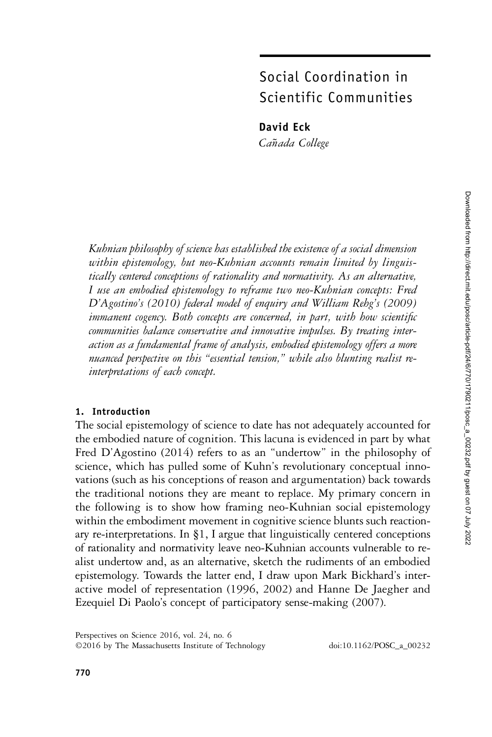David Eck Cañada College

Kuhnian philosophy of science has established the existence of a social dimension within epistemology, but neo-Kuhnian accounts remain limited by linguistically centered conceptions of rationality and normativity. As an alternative, I use an embodied epistemology to reframe two neo-Kuhnian concepts: Fred D'Agostino's (2010) federal model of enquiry and William Rehg's (2009) immanent cogency. Both concepts are concerned, in part, with how scientific communities balance conservative and innovative impulses. By treating interaction as a fundamental frame of analysis, embodied epistemology offers a more nuanced perspective on this "essential tension," while also blunting realist reinterpretations of each concept.

# 1. Introduction

The social epistemology of science to date has not adequately accounted for the embodied nature of cognition. This lacuna is evidenced in part by what Fred D'Agostino (2014) refers to as an "undertow" in the philosophy of science, which has pulled some of Kuhn's revolutionary conceptual innovations (such as his conceptions of reason and argumentation) back towards the traditional notions they are meant to replace. My primary concern in the following is to show how framing neo-Kuhnian social epistemology within the embodiment movement in cognitive science blunts such reactionary re-interpretations. In §1, I argue that linguistically centered conceptions of rationality and normativity leave neo-Kuhnian accounts vulnerable to realist undertow and, as an alternative, sketch the rudiments of an embodied epistemology. Towards the latter end, I draw upon Mark Bickhard's interactive model of representation (1996, 2002) and Hanne De Jaegher and Ezequiel Di Paolo's concept of participatory sense-making (2007).

Perspectives on Science 2016, vol. 24, no. 6 ©2016 by The Massachusetts Institute of Technology doi:10.1162/POSC\_a\_00232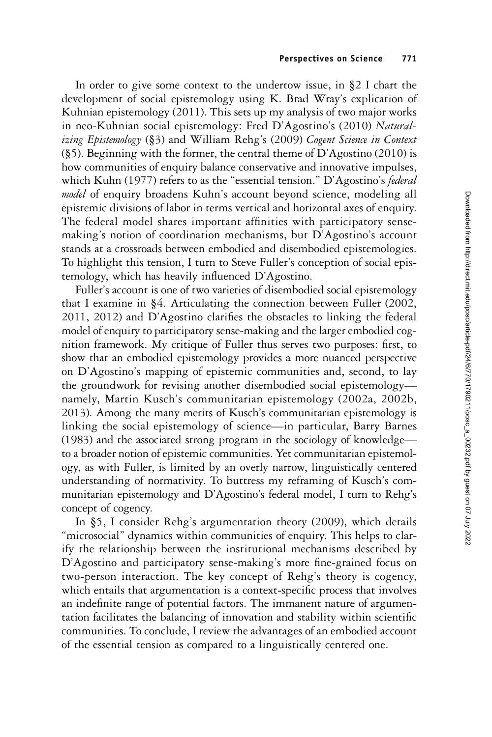In order to give some context to the undertow issue, in §2 I chart the development of social epistemology using K. Brad Wray's explication of Kuhnian epistemology (2011). This sets up my analysis of two major works in neo-Kuhnian social epistemology: Fred D'Agostino's (2010) Naturalizing Epistemology (§3) and William Rehg's (2009) Cogent Science in Context (§5). Beginning with the former, the central theme of D'Agostino (2010) is how communities of enquiry balance conservative and innovative impulses, which Kuhn (1977) refers to as the "essential tension." D'Agostino's federal model of enquiry broadens Kuhn's account beyond science, modeling all epistemic divisions of labor in terms vertical and horizontal axes of enquiry. The federal model shares important affinities with participatory sensemaking's notion of coordination mechanisms, but D'Agostino's account stands at a crossroads between embodied and disembodied epistemologies. To highlight this tension, I turn to Steve Fuller's conception of social epistemology, which has heavily influenced D'Agostino.

Fuller's account is one of two varieties of disembodied social epistemology that I examine in §4. Articulating the connection between Fuller (2002, 2011, 2012) and D'Agostino clarifies the obstacles to linking the federal model of enquiry to participatory sense-making and the larger embodied cognition framework. My critique of Fuller thus serves two purposes: first, to show that an embodied epistemology provides a more nuanced perspective on D'Agostino's mapping of epistemic communities and, second, to lay the groundwork for revising another disembodied social epistemology namely, Martin Kusch's communitarian epistemology (2002a, 2002b, 2013). Among the many merits of Kusch's communitarian epistemology is linking the social epistemology of science—in particular, Barry Barnes (1983) and the associated strong program in the sociology of knowledge to a broader notion of epistemic communities. Yet communitarian epistemology, as with Fuller, is limited by an overly narrow, linguistically centered understanding of normativity. To buttress my reframing of Kusch's communitarian epistemology and D'Agostino's federal model, I turn to Rehg's concept of cogency.

In §5, I consider Rehg's argumentation theory (2009), which details "microsocial" dynamics within communities of enquiry. This helps to clarify the relationship between the institutional mechanisms described by D'Agostino and participatory sense-making's more fine-grained focus on two-person interaction. The key concept of Rehg's theory is cogency, which entails that argumentation is a context-specific process that involves an indefinite range of potential factors. The immanent nature of argumentation facilitates the balancing of innovation and stability within scientific communities. To conclude, I review the advantages of an embodied account of the essential tension as compared to a linguistically centered one.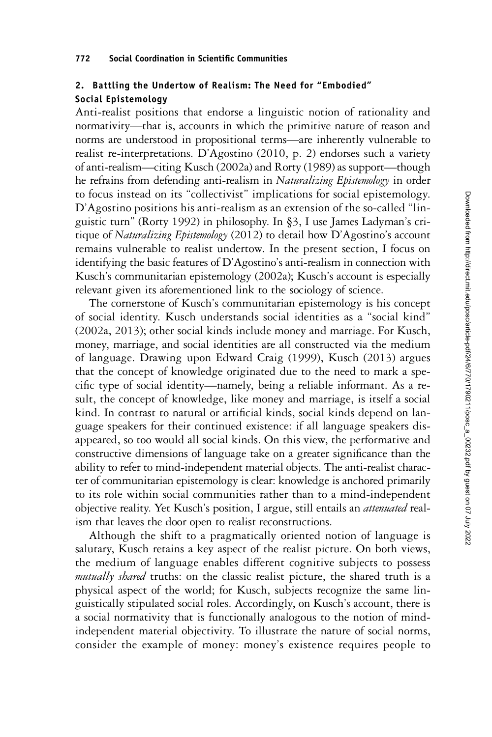# 2. Battling the Undertow of Realism: The Need for "Embodied" Social Epistemology

Anti-realist positions that endorse a linguistic notion of rationality and normativity—that is, accounts in which the primitive nature of reason and norms are understood in propositional terms—are inherently vulnerable to realist re-interpretations. D'Agostino (2010, p. 2) endorses such a variety of anti-realism—citing Kusch (2002a) and Rorty (1989) as support—though he refrains from defending anti-realism in Naturalizing Epistemology in order to focus instead on its "collectivist" implications for social epistemology. D'Agostino positions his anti-realism as an extension of the so-called "linguistic turn" (Rorty 1992) in philosophy. In §3, I use James Ladyman's critique of Naturalizing Epistemology (2012) to detail how D'Agostino's account remains vulnerable to realist undertow. In the present section, I focus on identifying the basic features of D'Agostino's anti-realism in connection with Kusch's communitarian epistemology (2002a); Kusch's account is especially relevant given its aforementioned link to the sociology of science.

The cornerstone of Kusch's communitarian epistemology is his concept of social identity. Kusch understands social identities as a "social kind" (2002a, 2013); other social kinds include money and marriage. For Kusch, money, marriage, and social identities are all constructed via the medium of language. Drawing upon Edward Craig (1999), Kusch (2013) argues that the concept of knowledge originated due to the need to mark a specific type of social identity—namely, being a reliable informant. As a result, the concept of knowledge, like money and marriage, is itself a social kind. In contrast to natural or artificial kinds, social kinds depend on language speakers for their continued existence: if all language speakers disappeared, so too would all social kinds. On this view, the performative and constructive dimensions of language take on a greater significance than the ability to refer to mind-independent material objects. The anti-realist character of communitarian epistemology is clear: knowledge is anchored primarily to its role within social communities rather than to a mind-independent objective reality. Yet Kusch's position, I argue, still entails an attenuated realism that leaves the door open to realist reconstructions.

Although the shift to a pragmatically oriented notion of language is salutary, Kusch retains a key aspect of the realist picture. On both views, the medium of language enables different cognitive subjects to possess mutually shared truths: on the classic realist picture, the shared truth is a physical aspect of the world; for Kusch, subjects recognize the same linguistically stipulated social roles. Accordingly, on Kusch's account, there is a social normativity that is functionally analogous to the notion of mindindependent material objectivity. To illustrate the nature of social norms, consider the example of money: money's existence requires people to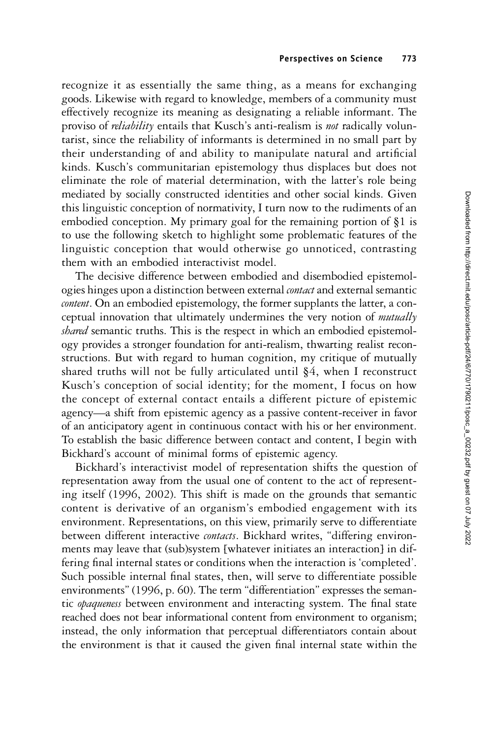recognize it as essentially the same thing, as a means for exchanging goods. Likewise with regard to knowledge, members of a community must effectively recognize its meaning as designating a reliable informant. The proviso of *reliability* entails that Kusch's anti-realism is not radically voluntarist, since the reliability of informants is determined in no small part by their understanding of and ability to manipulate natural and artificial kinds. Kusch's communitarian epistemology thus displaces but does not eliminate the role of material determination, with the latter's role being mediated by socially constructed identities and other social kinds. Given this linguistic conception of normativity, I turn now to the rudiments of an embodied conception. My primary goal for the remaining portion of §1 is to use the following sketch to highlight some problematic features of the linguistic conception that would otherwise go unnoticed, contrasting them with an embodied interactivist model.

The decisive difference between embodied and disembodied epistemologies hinges upon a distinction between external contact and external semantic content. On an embodied epistemology, the former supplants the latter, a conceptual innovation that ultimately undermines the very notion of mutually shared semantic truths. This is the respect in which an embodied epistemology provides a stronger foundation for anti-realism, thwarting realist reconstructions. But with regard to human cognition, my critique of mutually shared truths will not be fully articulated until §4, when I reconstruct Kusch's conception of social identity; for the moment, I focus on how the concept of external contact entails a different picture of epistemic agency—a shift from epistemic agency as a passive content-receiver in favor of an anticipatory agent in continuous contact with his or her environment. To establish the basic difference between contact and content, I begin with Bickhard's account of minimal forms of epistemic agency.

Bickhard's interactivist model of representation shifts the question of representation away from the usual one of content to the act of representing itself (1996, 2002). This shift is made on the grounds that semantic content is derivative of an organism's embodied engagement with its environment. Representations, on this view, primarily serve to differentiate between different interactive contacts. Bickhard writes, "differing environments may leave that (sub)system [whatever initiates an interaction] in differing final internal states or conditions when the interaction is 'completed'. Such possible internal final states, then, will serve to differentiate possible environments" (1996, p. 60). The term "differentiation" expresses the semantic *opaqueness* between environment and interacting system. The final state reached does not bear informational content from environment to organism; instead, the only information that perceptual differentiators contain about the environment is that it caused the given final internal state within the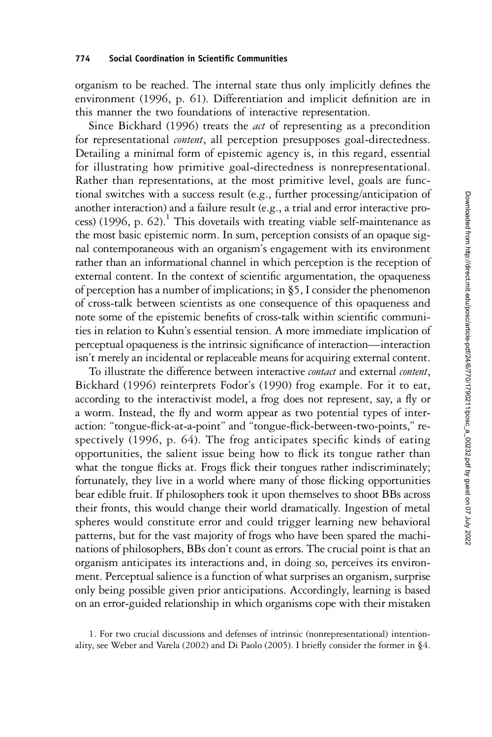organism to be reached. The internal state thus only implicitly defines the environment (1996, p. 61). Differentiation and implicit definition are in this manner the two foundations of interactive representation.

Since Bickhard (1996) treats the *act* of representing as a precondition for representational content, all perception presupposes goal-directedness. Detailing a minimal form of epistemic agency is, in this regard, essential for illustrating how primitive goal-directedness is nonrepresentational. Rather than representations, at the most primitive level, goals are functional switches with a success result (e.g., further processing/anticipation of another interaction) and a failure result (e.g., a trial and error interactive process) (1996, p. 62).<sup>1</sup> This dovetails with treating viable self-maintenance as the most basic epistemic norm. In sum, perception consists of an opaque signal contemporaneous with an organism's engagement with its environment rather than an informational channel in which perception is the reception of external content. In the context of scientific argumentation, the opaqueness of perception has a number of implications; in §5, I consider the phenomenon of cross-talk between scientists as one consequence of this opaqueness and note some of the epistemic benefits of cross-talk within scientific communities in relation to Kuhn's essential tension. A more immediate implication of perceptual opaqueness is the intrinsic significance of interaction—interaction isn't merely an incidental or replaceable means for acquiring external content.

To illustrate the difference between interactive *contact* and external *content*, Bickhard (1996) reinterprets Fodor's (1990) frog example. For it to eat, according to the interactivist model, a frog does not represent, say, a fly or a worm. Instead, the fly and worm appear as two potential types of interaction: "tongue-flick-at-a-point" and "tongue-flick-between-two-points," respectively (1996, p. 64). The frog anticipates specific kinds of eating opportunities, the salient issue being how to flick its tongue rather than what the tongue flicks at. Frogs flick their tongues rather indiscriminately; fortunately, they live in a world where many of those flicking opportunities bear edible fruit. If philosophers took it upon themselves to shoot BBs across their fronts, this would change their world dramatically. Ingestion of metal spheres would constitute error and could trigger learning new behavioral patterns, but for the vast majority of frogs who have been spared the machinations of philosophers, BBs don't count as errors. The crucial point is that an organism anticipates its interactions and, in doing so, perceives its environment. Perceptual salience is a function of what surprises an organism, surprise only being possible given prior anticipations. Accordingly, learning is based on an error-guided relationship in which organisms cope with their mistaken

1. For two crucial discussions and defenses of intrinsic (nonrepresentational) intentionality, see Weber and Varela (2002) and Di Paolo (2005). I briefly consider the former in §4.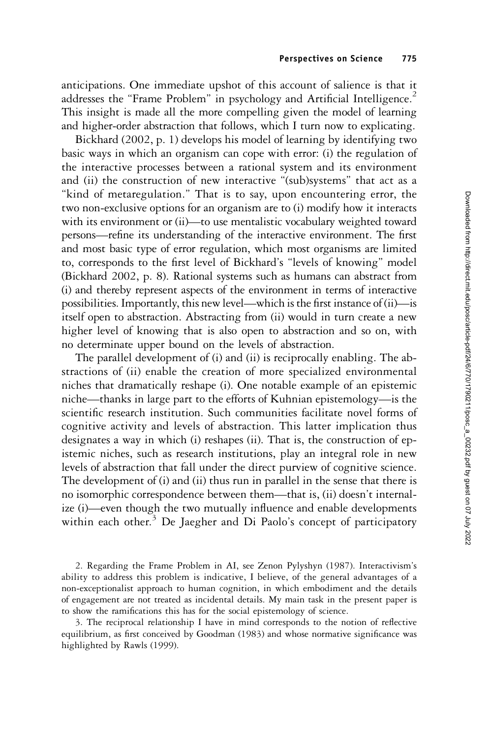anticipations. One immediate upshot of this account of salience is that it addresses the "Frame Problem" in psychology and Artificial Intelligence.<sup>2</sup> This insight is made all the more compelling given the model of learning and higher-order abstraction that follows, which I turn now to explicating.

Bickhard (2002, p. 1) develops his model of learning by identifying two basic ways in which an organism can cope with error: (i) the regulation of the interactive processes between a rational system and its environment and (ii) the construction of new interactive "(sub)systems" that act as a "kind of metaregulation." That is to say, upon encountering error, the two non-exclusive options for an organism are to (i) modify how it interacts with its environment or (ii)—to use mentalistic vocabulary weighted toward persons—refine its understanding of the interactive environment. The first and most basic type of error regulation, which most organisms are limited to, corresponds to the first level of Bickhard's "levels of knowing" model (Bickhard 2002, p. 8). Rational systems such as humans can abstract from (i) and thereby represent aspects of the environment in terms of interactive possibilities. Importantly, this new level—which is the first instance of (ii)—is itself open to abstraction. Abstracting from (ii) would in turn create a new higher level of knowing that is also open to abstraction and so on, with no determinate upper bound on the levels of abstraction.

The parallel development of (i) and (ii) is reciprocally enabling. The abstractions of (ii) enable the creation of more specialized environmental niches that dramatically reshape (i). One notable example of an epistemic niche—thanks in large part to the efforts of Kuhnian epistemology—is the scientific research institution. Such communities facilitate novel forms of cognitive activity and levels of abstraction. This latter implication thus designates a way in which (i) reshapes (ii). That is, the construction of epistemic niches, such as research institutions, play an integral role in new levels of abstraction that fall under the direct purview of cognitive science. The development of (i) and (ii) thus run in parallel in the sense that there is no isomorphic correspondence between them—that is, (ii) doesn't internalize (i)—even though the two mutually influence and enable developments within each other.<sup>3</sup> De Jaegher and Di Paolo's concept of participatory

2. Regarding the Frame Problem in AI, see Zenon Pylyshyn (1987). Interactivism's ability to address this problem is indicative, I believe, of the general advantages of a non-exceptionalist approach to human cognition, in which embodiment and the details of engagement are not treated as incidental details. My main task in the present paper is to show the ramifications this has for the social epistemology of science.

3. The reciprocal relationship I have in mind corresponds to the notion of reflective equilibrium, as first conceived by Goodman (1983) and whose normative significance was highlighted by Rawls (1999).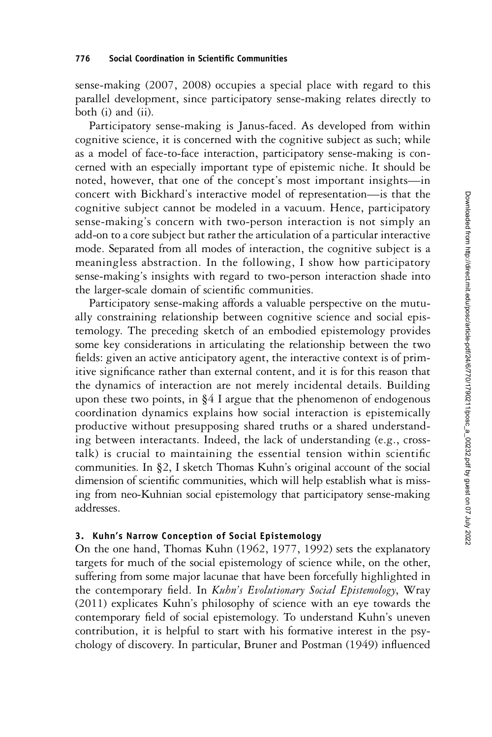sense-making (2007, 2008) occupies a special place with regard to this parallel development, since participatory sense-making relates directly to both (i) and (ii).

Participatory sense-making is Janus-faced. As developed from within cognitive science, it is concerned with the cognitive subject as such; while as a model of face-to-face interaction, participatory sense-making is concerned with an especially important type of epistemic niche. It should be noted, however, that one of the concept's most important insights—in concert with Bickhard's interactive model of representation—is that the cognitive subject cannot be modeled in a vacuum. Hence, participatory sense-making's concern with two-person interaction is not simply an add-on to a core subject but rather the articulation of a particular interactive mode. Separated from all modes of interaction, the cognitive subject is a meaningless abstraction. In the following, I show how participatory sense-making's insights with regard to two-person interaction shade into the larger-scale domain of scientific communities.

Participatory sense-making affords a valuable perspective on the mutually constraining relationship between cognitive science and social epistemology. The preceding sketch of an embodied epistemology provides some key considerations in articulating the relationship between the two fields: given an active anticipatory agent, the interactive context is of primitive significance rather than external content, and it is for this reason that the dynamics of interaction are not merely incidental details. Building upon these two points, in §4 I argue that the phenomenon of endogenous coordination dynamics explains how social interaction is epistemically productive without presupposing shared truths or a shared understanding between interactants. Indeed, the lack of understanding (e.g., crosstalk) is crucial to maintaining the essential tension within scientific communities. In §2, I sketch Thomas Kuhn's original account of the social dimension of scientific communities, which will help establish what is missing from neo-Kuhnian social epistemology that participatory sense-making addresses.

# 3. Kuhn's Narrow Conception of Social Epistemology

On the one hand, Thomas Kuhn (1962, 1977, 1992) sets the explanatory targets for much of the social epistemology of science while, on the other, suffering from some major lacunae that have been forcefully highlighted in the contemporary field. In Kuhn's Evolutionary Social Epistemology, Wray (2011) explicates Kuhn's philosophy of science with an eye towards the contemporary field of social epistemology. To understand Kuhn's uneven contribution, it is helpful to start with his formative interest in the psychology of discovery. In particular, Bruner and Postman (1949) influenced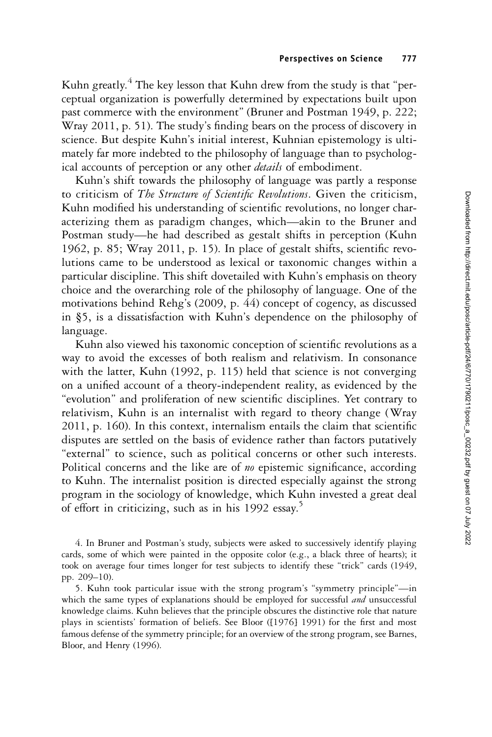Kuhn greatly.<sup>4</sup> The key lesson that Kuhn drew from the study is that "perceptual organization is powerfully determined by expectations built upon past commerce with the environment" (Bruner and Postman 1949, p. 222; Wray 2011, p. 51). The study's finding bears on the process of discovery in science. But despite Kuhn's initial interest, Kuhnian epistemology is ultimately far more indebted to the philosophy of language than to psychological accounts of perception or any other *details* of embodiment.

Kuhn's shift towards the philosophy of language was partly a response to criticism of The Structure of Scientific Revolutions. Given the criticism, Kuhn modified his understanding of scientific revolutions, no longer characterizing them as paradigm changes, which—akin to the Bruner and Postman study—he had described as gestalt shifts in perception (Kuhn 1962, p. 85; Wray 2011, p. 15). In place of gestalt shifts, scientific revolutions came to be understood as lexical or taxonomic changes within a particular discipline. This shift dovetailed with Kuhn's emphasis on theory choice and the overarching role of the philosophy of language. One of the motivations behind Rehg's (2009, p. 44) concept of cogency, as discussed in §5, is a dissatisfaction with Kuhn's dependence on the philosophy of language.

Kuhn also viewed his taxonomic conception of scientific revolutions as a way to avoid the excesses of both realism and relativism. In consonance with the latter, Kuhn (1992, p. 115) held that science is not converging on a unified account of a theory-independent reality, as evidenced by the "evolution" and proliferation of new scientific disciplines. Yet contrary to relativism, Kuhn is an internalist with regard to theory change (Wray 2011, p. 160). In this context, internalism entails the claim that scientific disputes are settled on the basis of evidence rather than factors putatively "external" to science, such as political concerns or other such interests. Political concerns and the like are of no epistemic significance, according to Kuhn. The internalist position is directed especially against the strong program in the sociology of knowledge, which Kuhn invested a great deal of effort in criticizing, such as in his 1992 essay.<sup>5</sup>

<sup>4.</sup> In Bruner and Postman's study, subjects were asked to successively identify playing cards, some of which were painted in the opposite color (e.g., a black three of hearts); it took on average four times longer for test subjects to identify these "trick" cards (1949, pp. 209–10).

<sup>5.</sup> Kuhn took particular issue with the strong program's "symmetry principle"—in which the same types of explanations should be employed for successful *and* unsuccessful knowledge claims. Kuhn believes that the principle obscures the distinctive role that nature plays in scientists' formation of beliefs. See Bloor ([1976] 1991) for the first and most famous defense of the symmetry principle; for an overview of the strong program, see Barnes, Bloor, and Henry (1996).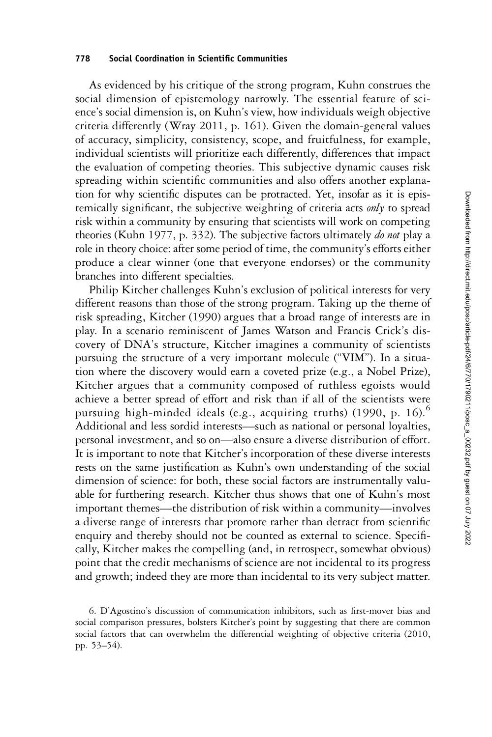As evidenced by his critique of the strong program, Kuhn construes the social dimension of epistemology narrowly. The essential feature of science's social dimension is, on Kuhn's view, how individuals weigh objective criteria differently (Wray 2011, p. 161). Given the domain-general values of accuracy, simplicity, consistency, scope, and fruitfulness, for example, individual scientists will prioritize each differently, differences that impact the evaluation of competing theories. This subjective dynamic causes risk spreading within scientific communities and also offers another explanation for why scientific disputes can be protracted. Yet, insofar as it is epistemically significant, the subjective weighting of criteria acts  $\omega n/\gamma$  to spread risk within a community by ensuring that scientists will work on competing theories (Kuhn 1977, p. 332). The subjective factors ultimately do not play a role in theory choice: after some period of time, the community's efforts either produce a clear winner (one that everyone endorses) or the community branches into different specialties.

Philip Kitcher challenges Kuhn's exclusion of political interests for very different reasons than those of the strong program. Taking up the theme of risk spreading, Kitcher (1990) argues that a broad range of interests are in play. In a scenario reminiscent of James Watson and Francis Crick's discovery of DNA's structure, Kitcher imagines a community of scientists pursuing the structure of a very important molecule ("VIM"). In a situation where the discovery would earn a coveted prize (e.g., a Nobel Prize), Kitcher argues that a community composed of ruthless egoists would achieve a better spread of effort and risk than if all of the scientists were pursuing high-minded ideals (e.g., acquiring truths) (1990, p. 16). Additional and less sordid interests—such as national or personal loyalties, personal investment, and so on—also ensure a diverse distribution of effort. It is important to note that Kitcher's incorporation of these diverse interests rests on the same justification as Kuhn's own understanding of the social dimension of science: for both, these social factors are instrumentally valuable for furthering research. Kitcher thus shows that one of Kuhn's most important themes—the distribution of risk within a community—involves a diverse range of interests that promote rather than detract from scientific enquiry and thereby should not be counted as external to science. Specifically, Kitcher makes the compelling (and, in retrospect, somewhat obvious) point that the credit mechanisms of science are not incidental to its progress and growth; indeed they are more than incidental to its very subject matter.

<sup>6.</sup> D'Agostino's discussion of communication inhibitors, such as first-mover bias and social comparison pressures, bolsters Kitcher's point by suggesting that there are common social factors that can overwhelm the differential weighting of objective criteria (2010, pp. 53–54).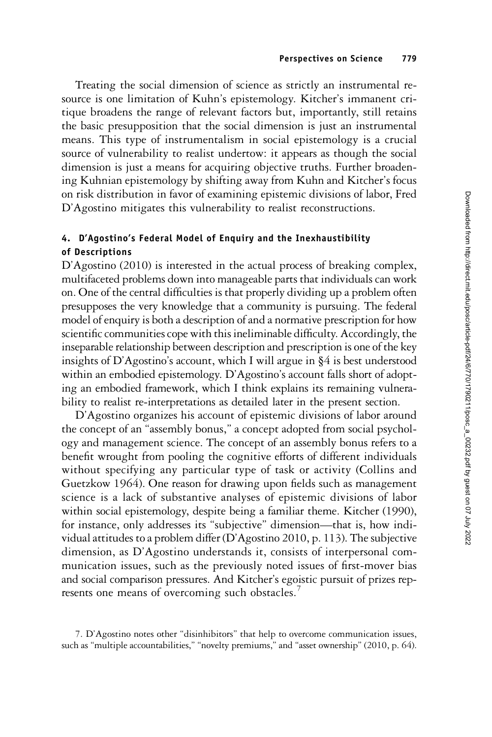Treating the social dimension of science as strictly an instrumental resource is one limitation of Kuhn's epistemology. Kitcher's immanent critique broadens the range of relevant factors but, importantly, still retains the basic presupposition that the social dimension is just an instrumental means. This type of instrumentalism in social epistemology is a crucial source of vulnerability to realist undertow: it appears as though the social dimension is just a means for acquiring objective truths. Further broadening Kuhnian epistemology by shifting away from Kuhn and Kitcher's focus on risk distribution in favor of examining epistemic divisions of labor, Fred D'Agostino mitigates this vulnerability to realist reconstructions.

# 4. D'Agostino's Federal Model of Enquiry and the Inexhaustibility of Descriptions

D'Agostino (2010) is interested in the actual process of breaking complex, multifaceted problems down into manageable parts that individuals can work on. One of the central difficulties is that properly dividing up a problem often presupposes the very knowledge that a community is pursuing. The federal model of enquiry is both a description of and a normative prescription for how scientific communities cope with this ineliminable difficulty. Accordingly, the inseparable relationship between description and prescription is one of the key insights of D'Agostino's account, which I will argue in §4 is best understood within an embodied epistemology. D'Agostino's account falls short of adopting an embodied framework, which I think explains its remaining vulnerability to realist re-interpretations as detailed later in the present section.

D'Agostino organizes his account of epistemic divisions of labor around the concept of an "assembly bonus," a concept adopted from social psychology and management science. The concept of an assembly bonus refers to a benefit wrought from pooling the cognitive efforts of different individuals without specifying any particular type of task or activity (Collins and Guetzkow 1964). One reason for drawing upon fields such as management science is a lack of substantive analyses of epistemic divisions of labor within social epistemology, despite being a familiar theme. Kitcher (1990), for instance, only addresses its "subjective" dimension—that is, how individual attitudes to a problem differ (D'Agostino 2010, p. 113). The subjective dimension, as D'Agostino understands it, consists of interpersonal communication issues, such as the previously noted issues of first-mover bias and social comparison pressures. And Kitcher's egoistic pursuit of prizes represents one means of overcoming such obstacles.<sup>7</sup>

7. D'Agostino notes other "disinhibitors" that help to overcome communication issues, such as "multiple accountabilities," "novelty premiums," and "asset ownership" (2010, p. 64).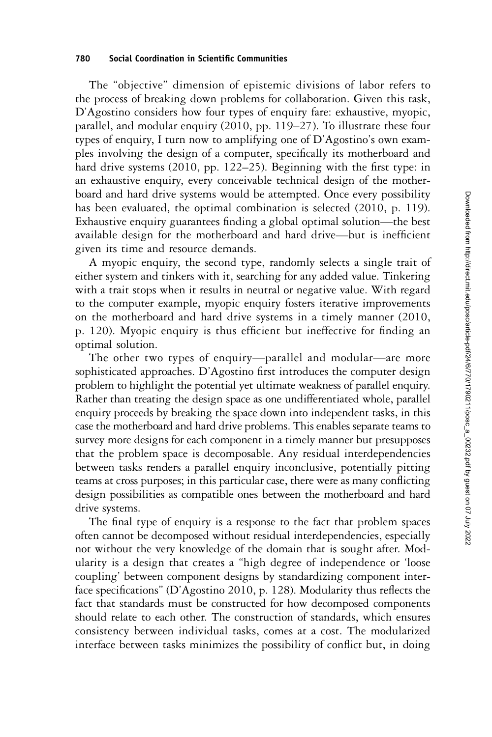The "objective" dimension of epistemic divisions of labor refers to the process of breaking down problems for collaboration. Given this task, D'Agostino considers how four types of enquiry fare: exhaustive, myopic, parallel, and modular enquiry (2010, pp. 119–27). To illustrate these four types of enquiry, I turn now to amplifying one of D'Agostino's own examples involving the design of a computer, specifically its motherboard and hard drive systems (2010, pp. 122–25). Beginning with the first type: in an exhaustive enquiry, every conceivable technical design of the motherboard and hard drive systems would be attempted. Once every possibility has been evaluated, the optimal combination is selected (2010, p. 119). Exhaustive enquiry guarantees finding a global optimal solution—the best available design for the motherboard and hard drive—but is inefficient given its time and resource demands.

A myopic enquiry, the second type, randomly selects a single trait of either system and tinkers with it, searching for any added value. Tinkering with a trait stops when it results in neutral or negative value. With regard to the computer example, myopic enquiry fosters iterative improvements on the motherboard and hard drive systems in a timely manner (2010, p. 120). Myopic enquiry is thus efficient but ineffective for finding an optimal solution.

The other two types of enquiry—parallel and modular—are more sophisticated approaches. D'Agostino first introduces the computer design problem to highlight the potential yet ultimate weakness of parallel enquiry. Rather than treating the design space as one undifferentiated whole, parallel enquiry proceeds by breaking the space down into independent tasks, in this case the motherboard and hard drive problems. This enables separate teams to survey more designs for each component in a timely manner but presupposes that the problem space is decomposable. Any residual interdependencies between tasks renders a parallel enquiry inconclusive, potentially pitting teams at cross purposes; in this particular case, there were as many conflicting design possibilities as compatible ones between the motherboard and hard drive systems.

The final type of enquiry is a response to the fact that problem spaces often cannot be decomposed without residual interdependencies, especially not without the very knowledge of the domain that is sought after. Modularity is a design that creates a "high degree of independence or 'loose coupling' between component designs by standardizing component interface specifications" (D'Agostino 2010, p. 128). Modularity thus reflects the fact that standards must be constructed for how decomposed components should relate to each other. The construction of standards, which ensures consistency between individual tasks, comes at a cost. The modularized interface between tasks minimizes the possibility of conflict but, in doing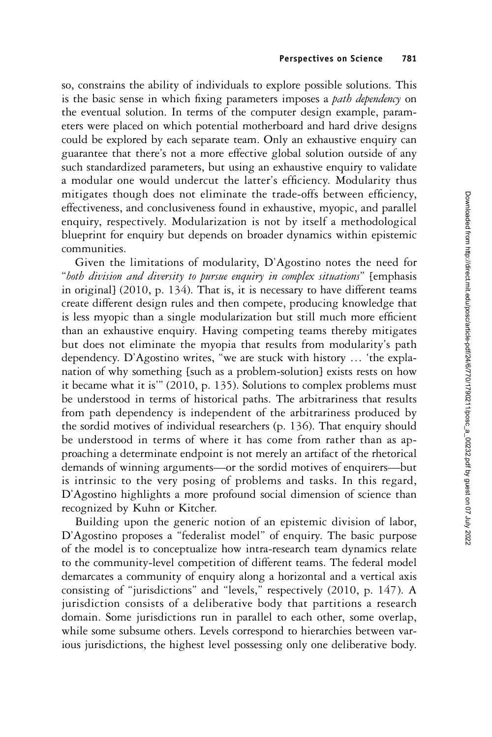so, constrains the ability of individuals to explore possible solutions. This is the basic sense in which fixing parameters imposes a *path dependency* on the eventual solution. In terms of the computer design example, parameters were placed on which potential motherboard and hard drive designs could be explored by each separate team. Only an exhaustive enquiry can guarantee that there's not a more effective global solution outside of any such standardized parameters, but using an exhaustive enquiry to validate a modular one would undercut the latter's efficiency. Modularity thus mitigates though does not eliminate the trade-offs between efficiency, effectiveness, and conclusiveness found in exhaustive, myopic, and parallel enquiry, respectively. Modularization is not by itself a methodological blueprint for enquiry but depends on broader dynamics within epistemic communities.

Given the limitations of modularity, D'Agostino notes the need for "both division and diversity to pursue enquiry in complex situations" [emphasis in original] (2010, p. 134). That is, it is necessary to have different teams create different design rules and then compete, producing knowledge that is less myopic than a single modularization but still much more efficient than an exhaustive enquiry. Having competing teams thereby mitigates but does not eliminate the myopia that results from modularity's path dependency. D'Agostino writes, "we are stuck with history … 'the explanation of why something [such as a problem-solution] exists rests on how it became what it is'" (2010, p. 135). Solutions to complex problems must be understood in terms of historical paths. The arbitrariness that results from path dependency is independent of the arbitrariness produced by the sordid motives of individual researchers (p. 136). That enquiry should be understood in terms of where it has come from rather than as approaching a determinate endpoint is not merely an artifact of the rhetorical demands of winning arguments—or the sordid motives of enquirers—but is intrinsic to the very posing of problems and tasks. In this regard, D'Agostino highlights a more profound social dimension of science than recognized by Kuhn or Kitcher.

Building upon the generic notion of an epistemic division of labor, D'Agostino proposes a "federalist model" of enquiry. The basic purpose of the model is to conceptualize how intra-research team dynamics relate to the community-level competition of different teams. The federal model demarcates a community of enquiry along a horizontal and a vertical axis consisting of "jurisdictions" and "levels," respectively (2010, p. 147). A jurisdiction consists of a deliberative body that partitions a research domain. Some jurisdictions run in parallel to each other, some overlap, while some subsume others. Levels correspond to hierarchies between various jurisdictions, the highest level possessing only one deliberative body.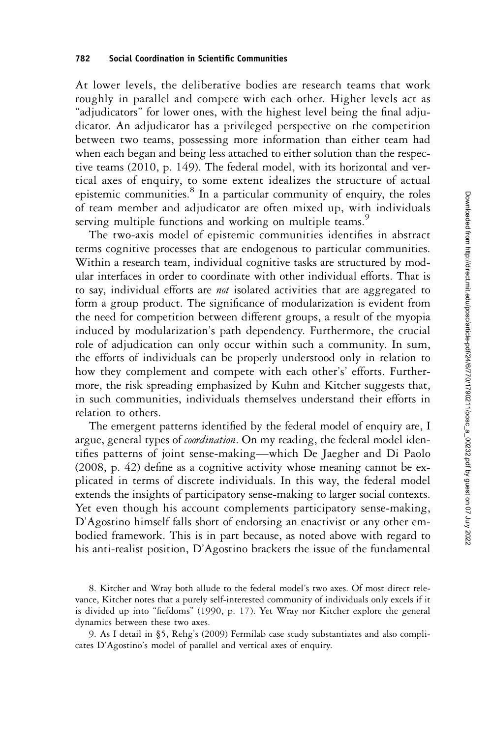At lower levels, the deliberative bodies are research teams that work roughly in parallel and compete with each other. Higher levels act as "adjudicators" for lower ones, with the highest level being the final adjudicator. An adjudicator has a privileged perspective on the competition between two teams, possessing more information than either team had when each began and being less attached to either solution than the respective teams (2010, p. 149). The federal model, with its horizontal and vertical axes of enquiry, to some extent idealizes the structure of actual epistemic communities.<sup>8</sup> In a particular community of enquiry, the roles of team member and adjudicator are often mixed up, with individuals serving multiple functions and working on multiple teams.<sup>9</sup>

The two-axis model of epistemic communities identifies in abstract terms cognitive processes that are endogenous to particular communities. Within a research team, individual cognitive tasks are structured by modular interfaces in order to coordinate with other individual efforts. That is to say, individual efforts are not isolated activities that are aggregated to form a group product. The significance of modularization is evident from the need for competition between different groups, a result of the myopia induced by modularization's path dependency. Furthermore, the crucial role of adjudication can only occur within such a community. In sum, the efforts of individuals can be properly understood only in relation to how they complement and compete with each other's' efforts. Furthermore, the risk spreading emphasized by Kuhn and Kitcher suggests that, in such communities, individuals themselves understand their efforts in relation to others.

The emergent patterns identified by the federal model of enquiry are, I argue, general types of *coordination*. On my reading, the federal model identifies patterns of joint sense-making—which De Jaegher and Di Paolo (2008, p. 42) define as a cognitive activity whose meaning cannot be explicated in terms of discrete individuals. In this way, the federal model extends the insights of participatory sense-making to larger social contexts. Yet even though his account complements participatory sense-making, D'Agostino himself falls short of endorsing an enactivist or any other embodied framework. This is in part because, as noted above with regard to his anti-realist position, D'Agostino brackets the issue of the fundamental

8. Kitcher and Wray both allude to the federal model's two axes. Of most direct relevance, Kitcher notes that a purely self-interested community of individuals only excels if it is divided up into "fiefdoms" (1990, p. 17). Yet Wray nor Kitcher explore the general dynamics between these two axes.

9. As I detail in §5, Rehg's (2009) Fermilab case study substantiates and also complicates D'Agostino's model of parallel and vertical axes of enquiry.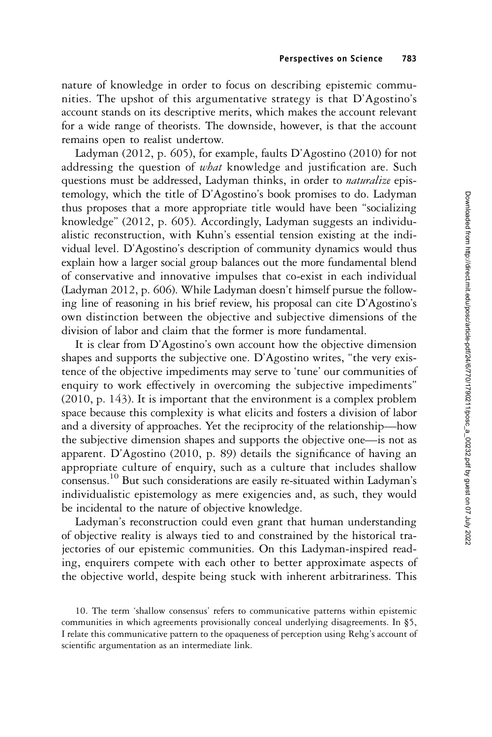nature of knowledge in order to focus on describing epistemic communities. The upshot of this argumentative strategy is that D'Agostino's account stands on its descriptive merits, which makes the account relevant for a wide range of theorists. The downside, however, is that the account remains open to realist undertow.

Ladyman (2012, p. 605), for example, faults D'Agostino (2010) for not addressing the question of what knowledge and justification are. Such questions must be addressed, Ladyman thinks, in order to *naturalize* epistemology, which the title of D'Agostino's book promises to do. Ladyman thus proposes that a more appropriate title would have been "socializing knowledge" (2012, p. 605). Accordingly, Ladyman suggests an individualistic reconstruction, with Kuhn's essential tension existing at the individual level. D'Agostino's description of community dynamics would thus explain how a larger social group balances out the more fundamental blend of conservative and innovative impulses that co-exist in each individual (Ladyman 2012, p. 606). While Ladyman doesn't himself pursue the following line of reasoning in his brief review, his proposal can cite D'Agostino's own distinction between the objective and subjective dimensions of the division of labor and claim that the former is more fundamental.

It is clear from D'Agostino's own account how the objective dimension shapes and supports the subjective one. D'Agostino writes, "the very existence of the objective impediments may serve to 'tune' our communities of enquiry to work effectively in overcoming the subjective impediments" (2010, p. 143). It is important that the environment is a complex problem space because this complexity is what elicits and fosters a division of labor and a diversity of approaches. Yet the reciprocity of the relationship—how the subjective dimension shapes and supports the objective one—is not as apparent. D'Agostino (2010, p. 89) details the significance of having an appropriate culture of enquiry, such as a culture that includes shallow consensus.<sup>10</sup> But such considerations are easily re-situated within Ladyman's individualistic epistemology as mere exigencies and, as such, they would be incidental to the nature of objective knowledge.

Ladyman's reconstruction could even grant that human understanding of objective reality is always tied to and constrained by the historical trajectories of our epistemic communities. On this Ladyman-inspired reading, enquirers compete with each other to better approximate aspects of the objective world, despite being stuck with inherent arbitrariness. This

<sup>10.</sup> The term 'shallow consensus' refers to communicative patterns within epistemic communities in which agreements provisionally conceal underlying disagreements. In §5, I relate this communicative pattern to the opaqueness of perception using Rehg's account of scientific argumentation as an intermediate link.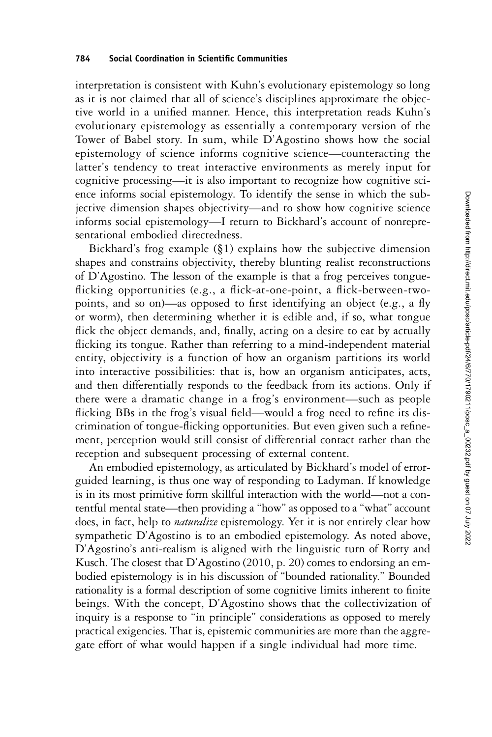interpretation is consistent with Kuhn's evolutionary epistemology so long as it is not claimed that all of science's disciplines approximate the objective world in a unified manner. Hence, this interpretation reads Kuhn's evolutionary epistemology as essentially a contemporary version of the Tower of Babel story. In sum, while D'Agostino shows how the social epistemology of science informs cognitive science—counteracting the latter's tendency to treat interactive environments as merely input for cognitive processing—it is also important to recognize how cognitive science informs social epistemology. To identify the sense in which the subjective dimension shapes objectivity—and to show how cognitive science informs social epistemology—I return to Bickhard's account of nonrepresentational embodied directedness.

Bickhard's frog example (§1) explains how the subjective dimension shapes and constrains objectivity, thereby blunting realist reconstructions of D'Agostino. The lesson of the example is that a frog perceives tongueflicking opportunities (e.g., a flick-at-one-point, a flick-between-twopoints, and so on)—as opposed to first identifying an object (e.g., a fly or worm), then determining whether it is edible and, if so, what tongue flick the object demands, and, finally, acting on a desire to eat by actually flicking its tongue. Rather than referring to a mind-independent material entity, objectivity is a function of how an organism partitions its world into interactive possibilities: that is, how an organism anticipates, acts, and then differentially responds to the feedback from its actions. Only if there were a dramatic change in a frog's environment—such as people flicking BBs in the frog's visual field—would a frog need to refine its discrimination of tongue-flicking opportunities. But even given such a refinement, perception would still consist of differential contact rather than the reception and subsequent processing of external content.

An embodied epistemology, as articulated by Bickhard's model of errorguided learning, is thus one way of responding to Ladyman. If knowledge is in its most primitive form skillful interaction with the world—not a contentful mental state—then providing a "how" as opposed to a "what" account does, in fact, help to *naturalize* epistemology. Yet it is not entirely clear how sympathetic D'Agostino is to an embodied epistemology. As noted above, D'Agostino's anti-realism is aligned with the linguistic turn of Rorty and Kusch. The closest that D'Agostino (2010, p. 20) comes to endorsing an embodied epistemology is in his discussion of "bounded rationality." Bounded rationality is a formal description of some cognitive limits inherent to finite beings. With the concept, D'Agostino shows that the collectivization of inquiry is a response to "in principle" considerations as opposed to merely practical exigencies. That is, epistemic communities are more than the aggregate effort of what would happen if a single individual had more time.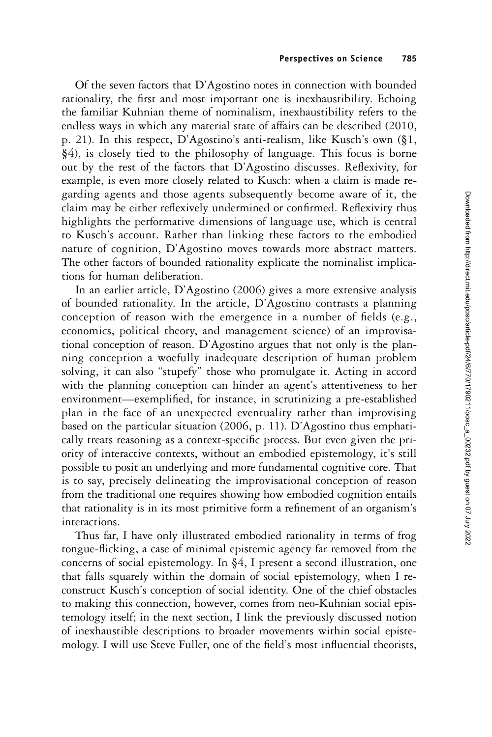Of the seven factors that D'Agostino notes in connection with bounded rationality, the first and most important one is inexhaustibility. Echoing the familiar Kuhnian theme of nominalism, inexhaustibility refers to the endless ways in which any material state of affairs can be described (2010, p. 21). In this respect, D'Agostino's anti-realism, like Kusch's own (§1, §4), is closely tied to the philosophy of language. This focus is borne out by the rest of the factors that D'Agostino discusses. Reflexivity, for example, is even more closely related to Kusch: when a claim is made regarding agents and those agents subsequently become aware of it, the claim may be either reflexively undermined or confirmed. Reflexivity thus highlights the performative dimensions of language use, which is central to Kusch's account. Rather than linking these factors to the embodied nature of cognition, D'Agostino moves towards more abstract matters. The other factors of bounded rationality explicate the nominalist implications for human deliberation.

In an earlier article, D'Agostino (2006) gives a more extensive analysis of bounded rationality. In the article, D'Agostino contrasts a planning conception of reason with the emergence in a number of fields (e.g., economics, political theory, and management science) of an improvisational conception of reason. D'Agostino argues that not only is the planning conception a woefully inadequate description of human problem solving, it can also "stupefy" those who promulgate it. Acting in accord with the planning conception can hinder an agent's attentiveness to her environment—exemplified, for instance, in scrutinizing a pre-established plan in the face of an unexpected eventuality rather than improvising based on the particular situation (2006, p. 11). D'Agostino thus emphatically treats reasoning as a context-specific process. But even given the priority of interactive contexts, without an embodied epistemology, it's still possible to posit an underlying and more fundamental cognitive core. That is to say, precisely delineating the improvisational conception of reason from the traditional one requires showing how embodied cognition entails that rationality is in its most primitive form a refinement of an organism's interactions.

Thus far, I have only illustrated embodied rationality in terms of frog tongue-flicking, a case of minimal epistemic agency far removed from the concerns of social epistemology. In §4, I present a second illustration, one that falls squarely within the domain of social epistemology, when I reconstruct Kusch's conception of social identity. One of the chief obstacles to making this connection, however, comes from neo-Kuhnian social epistemology itself; in the next section, I link the previously discussed notion of inexhaustible descriptions to broader movements within social epistemology. I will use Steve Fuller, one of the field's most influential theorists,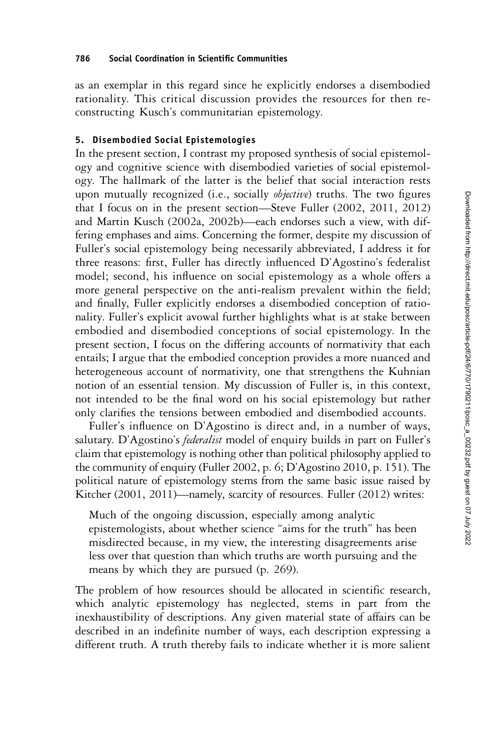as an exemplar in this regard since he explicitly endorses a disembodied rationality. This critical discussion provides the resources for then reconstructing Kusch's communitarian epistemology.

## 5. Disembodied Social Epistemologies

In the present section, I contrast my proposed synthesis of social epistemology and cognitive science with disembodied varieties of social epistemology. The hallmark of the latter is the belief that social interaction rests upon mutually recognized (i.e., socially *objective*) truths. The two figures that I focus on in the present section—Steve Fuller (2002, 2011, 2012) and Martin Kusch (2002a, 2002b)—each endorses such a view, with differing emphases and aims. Concerning the former, despite my discussion of Fuller's social epistemology being necessarily abbreviated, I address it for three reasons: first, Fuller has directly influenced D'Agostino's federalist model; second, his influence on social epistemology as a whole offers a more general perspective on the anti-realism prevalent within the field; and finally, Fuller explicitly endorses a disembodied conception of rationality. Fuller's explicit avowal further highlights what is at stake between embodied and disembodied conceptions of social epistemology. In the present section, I focus on the differing accounts of normativity that each entails; I argue that the embodied conception provides a more nuanced and heterogeneous account of normativity, one that strengthens the Kuhnian notion of an essential tension. My discussion of Fuller is, in this context, not intended to be the final word on his social epistemology but rather only clarifies the tensions between embodied and disembodied accounts.

Fuller's influence on D'Agostino is direct and, in a number of ways, salutary. D'Agostino's *federalist* model of enquiry builds in part on Fuller's claim that epistemology is nothing other than political philosophy applied to the community of enquiry (Fuller 2002, p. 6; D'Agostino 2010, p. 151). The political nature of epistemology stems from the same basic issue raised by Kitcher (2001, 2011)—namely, scarcity of resources. Fuller (2012) writes:

Much of the ongoing discussion, especially among analytic epistemologists, about whether science "aims for the truth" has been misdirected because, in my view, the interesting disagreements arise less over that question than which truths are worth pursuing and the means by which they are pursued (p. 269).

The problem of how resources should be allocated in scientific research, which analytic epistemology has neglected, stems in part from the inexhaustibility of descriptions. Any given material state of affairs can be described in an indefinite number of ways, each description expressing a different truth. A truth thereby fails to indicate whether it is more salient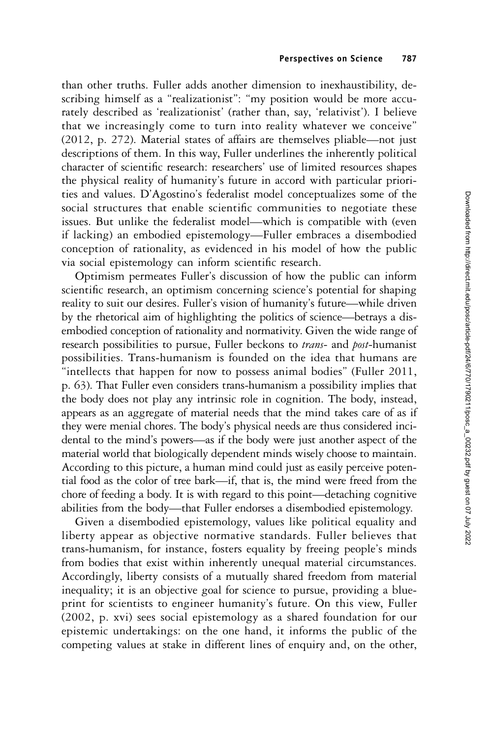than other truths. Fuller adds another dimension to inexhaustibility, describing himself as a "realizationist": "my position would be more accurately described as 'realizationist' (rather than, say, 'relativist'). I believe that we increasingly come to turn into reality whatever we conceive" (2012, p. 272). Material states of affairs are themselves pliable—not just descriptions of them. In this way, Fuller underlines the inherently political character of scientific research: researchers' use of limited resources shapes the physical reality of humanity's future in accord with particular priorities and values. D'Agostino's federalist model conceptualizes some of the social structures that enable scientific communities to negotiate these issues. But unlike the federalist model—which is compatible with (even if lacking) an embodied epistemology—Fuller embraces a disembodied conception of rationality, as evidenced in his model of how the public via social epistemology can inform scientific research.

Optimism permeates Fuller's discussion of how the public can inform scientific research, an optimism concerning science's potential for shaping reality to suit our desires. Fuller's vision of humanity's future—while driven by the rhetorical aim of highlighting the politics of science—betrays a disembodied conception of rationality and normativity. Given the wide range of research possibilities to pursue, Fuller beckons to trans- and post-humanist possibilities. Trans-humanism is founded on the idea that humans are "intellects that happen for now to possess animal bodies" (Fuller 2011, p. 63). That Fuller even considers trans-humanism a possibility implies that the body does not play any intrinsic role in cognition. The body, instead, appears as an aggregate of material needs that the mind takes care of as if they were menial chores. The body's physical needs are thus considered incidental to the mind's powers—as if the body were just another aspect of the material world that biologically dependent minds wisely choose to maintain. According to this picture, a human mind could just as easily perceive potential food as the color of tree bark—if, that is, the mind were freed from the chore of feeding a body. It is with regard to this point—detaching cognitive abilities from the body—that Fuller endorses a disembodied epistemology.

Given a disembodied epistemology, values like political equality and liberty appear as objective normative standards. Fuller believes that trans-humanism, for instance, fosters equality by freeing people's minds from bodies that exist within inherently unequal material circumstances. Accordingly, liberty consists of a mutually shared freedom from material inequality; it is an objective goal for science to pursue, providing a blueprint for scientists to engineer humanity's future. On this view, Fuller (2002, p. xvi) sees social epistemology as a shared foundation for our epistemic undertakings: on the one hand, it informs the public of the competing values at stake in different lines of enquiry and, on the other,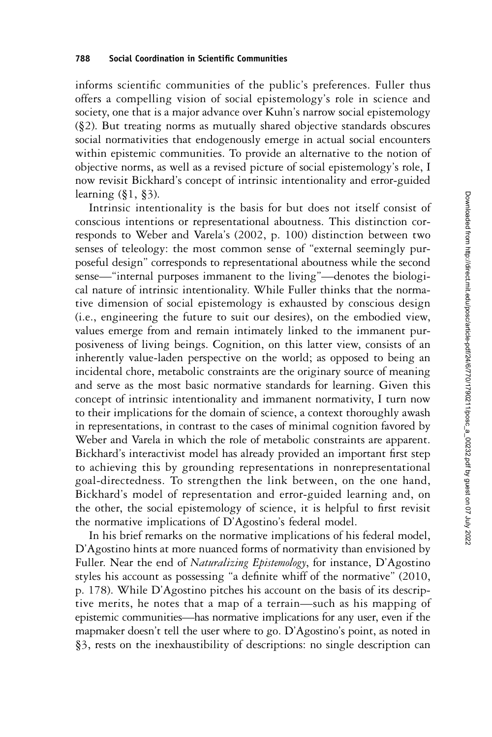informs scientific communities of the public's preferences. Fuller thus offers a compelling vision of social epistemology's role in science and society, one that is a major advance over Kuhn's narrow social epistemology (§2). But treating norms as mutually shared objective standards obscures social normativities that endogenously emerge in actual social encounters within epistemic communities. To provide an alternative to the notion of objective norms, as well as a revised picture of social epistemology's role, I now revisit Bickhard's concept of intrinsic intentionality and error-guided learning (§1, §3).

Intrinsic intentionality is the basis for but does not itself consist of conscious intentions or representational aboutness. This distinction corresponds to Weber and Varela's (2002, p. 100) distinction between two senses of teleology: the most common sense of "external seemingly purposeful design" corresponds to representational aboutness while the second sense—"internal purposes immanent to the living"—denotes the biological nature of intrinsic intentionality. While Fuller thinks that the normative dimension of social epistemology is exhausted by conscious design (i.e., engineering the future to suit our desires), on the embodied view, values emerge from and remain intimately linked to the immanent purposiveness of living beings. Cognition, on this latter view, consists of an inherently value-laden perspective on the world; as opposed to being an incidental chore, metabolic constraints are the originary source of meaning and serve as the most basic normative standards for learning. Given this concept of intrinsic intentionality and immanent normativity, I turn now to their implications for the domain of science, a context thoroughly awash in representations, in contrast to the cases of minimal cognition favored by Weber and Varela in which the role of metabolic constraints are apparent. Bickhard's interactivist model has already provided an important first step to achieving this by grounding representations in nonrepresentational goal-directedness. To strengthen the link between, on the one hand, Bickhard's model of representation and error-guided learning and, on the other, the social epistemology of science, it is helpful to first revisit the normative implications of D'Agostino's federal model.

In his brief remarks on the normative implications of his federal model, D'Agostino hints at more nuanced forms of normativity than envisioned by Fuller. Near the end of Naturalizing Epistemology, for instance, D'Agostino styles his account as possessing "a definite whiff of the normative" (2010, p. 178). While D'Agostino pitches his account on the basis of its descriptive merits, he notes that a map of a terrain—such as his mapping of epistemic communities—has normative implications for any user, even if the mapmaker doesn't tell the user where to go. D'Agostino's point, as noted in §3, rests on the inexhaustibility of descriptions: no single description can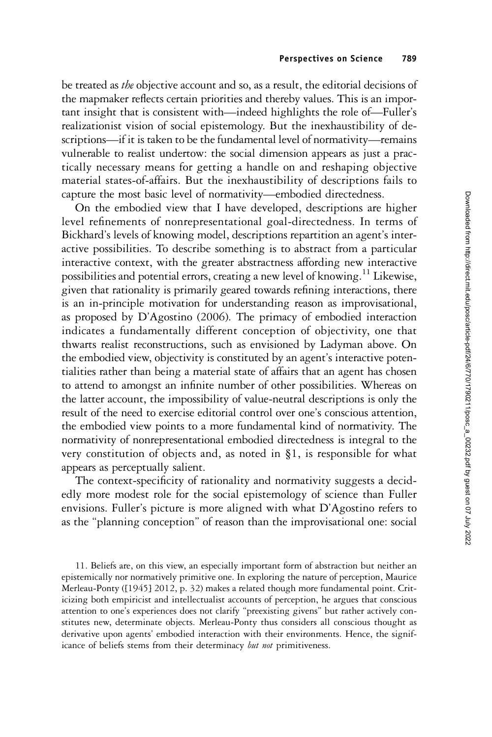be treated as the objective account and so, as a result, the editorial decisions of the mapmaker reflects certain priorities and thereby values. This is an important insight that is consistent with—indeed highlights the role of—Fuller's realizationist vision of social epistemology. But the inexhaustibility of descriptions—if it is taken to be the fundamental level of normativity—remains vulnerable to realist undertow: the social dimension appears as just a practically necessary means for getting a handle on and reshaping objective material states-of-affairs. But the inexhaustibility of descriptions fails to capture the most basic level of normativity—embodied directedness.

On the embodied view that I have developed, descriptions are higher level refinements of nonrepresentational goal-directedness. In terms of Bickhard's levels of knowing model, descriptions repartition an agent's interactive possibilities. To describe something is to abstract from a particular interactive context, with the greater abstractness affording new interactive possibilities and potential errors, creating a new level of knowing.<sup>11</sup> Likewise, given that rationality is primarily geared towards refining interactions, there is an in-principle motivation for understanding reason as improvisational, as proposed by D'Agostino (2006). The primacy of embodied interaction indicates a fundamentally different conception of objectivity, one that thwarts realist reconstructions, such as envisioned by Ladyman above. On the embodied view, objectivity is constituted by an agent's interactive potentialities rather than being a material state of affairs that an agent has chosen to attend to amongst an infinite number of other possibilities. Whereas on the latter account, the impossibility of value-neutral descriptions is only the result of the need to exercise editorial control over one's conscious attention, the embodied view points to a more fundamental kind of normativity. The normativity of nonrepresentational embodied directedness is integral to the very constitution of objects and, as noted in §1, is responsible for what appears as perceptually salient.

The context-specificity of rationality and normativity suggests a decidedly more modest role for the social epistemology of science than Fuller envisions. Fuller's picture is more aligned with what D'Agostino refers to as the "planning conception" of reason than the improvisational one: social

11. Beliefs are, on this view, an especially important form of abstraction but neither an epistemically nor normatively primitive one. In exploring the nature of perception, Maurice Merleau-Ponty ([1945] 2012, p. 32) makes a related though more fundamental point. Criticizing both empiricist and intellectualist accounts of perception, he argues that conscious attention to one's experiences does not clarify "preexisting givens" but rather actively constitutes new, determinate objects. Merleau-Ponty thus considers all conscious thought as derivative upon agents' embodied interaction with their environments. Hence, the significance of beliefs stems from their determinacy but not primitiveness.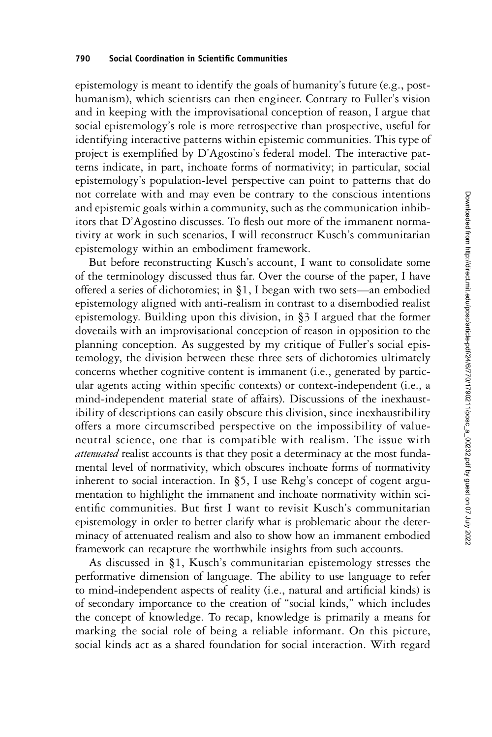epistemology is meant to identify the goals of humanity's future (e.g., posthumanism), which scientists can then engineer. Contrary to Fuller's vision and in keeping with the improvisational conception of reason, I argue that social epistemology's role is more retrospective than prospective, useful for identifying interactive patterns within epistemic communities. This type of project is exemplified by D'Agostino's federal model. The interactive patterns indicate, in part, inchoate forms of normativity; in particular, social epistemology's population-level perspective can point to patterns that do not correlate with and may even be contrary to the conscious intentions and epistemic goals within a community, such as the communication inhibitors that D'Agostino discusses. To flesh out more of the immanent normativity at work in such scenarios, I will reconstruct Kusch's communitarian epistemology within an embodiment framework.

But before reconstructing Kusch's account, I want to consolidate some of the terminology discussed thus far. Over the course of the paper, I have offered a series of dichotomies; in §1, I began with two sets—an embodied epistemology aligned with anti-realism in contrast to a disembodied realist epistemology. Building upon this division, in §3 I argued that the former dovetails with an improvisational conception of reason in opposition to the planning conception. As suggested by my critique of Fuller's social epistemology, the division between these three sets of dichotomies ultimately concerns whether cognitive content is immanent (i.e., generated by particular agents acting within specific contexts) or context-independent (i.e., a mind-independent material state of affairs). Discussions of the inexhaustibility of descriptions can easily obscure this division, since inexhaustibility offers a more circumscribed perspective on the impossibility of valueneutral science, one that is compatible with realism. The issue with attenuated realist accounts is that they posit a determinacy at the most fundamental level of normativity, which obscures inchoate forms of normativity inherent to social interaction. In §5, I use Rehg's concept of cogent argumentation to highlight the immanent and inchoate normativity within scientific communities. But first I want to revisit Kusch's communitarian epistemology in order to better clarify what is problematic about the determinacy of attenuated realism and also to show how an immanent embodied framework can recapture the worthwhile insights from such accounts.

As discussed in §1, Kusch's communitarian epistemology stresses the performative dimension of language. The ability to use language to refer to mind-independent aspects of reality (i.e., natural and artificial kinds) is of secondary importance to the creation of "social kinds," which includes the concept of knowledge. To recap, knowledge is primarily a means for marking the social role of being a reliable informant. On this picture, social kinds act as a shared foundation for social interaction. With regard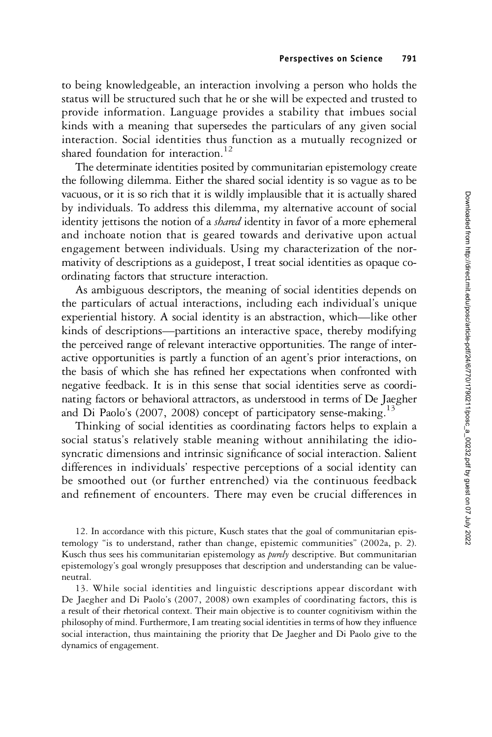to being knowledgeable, an interaction involving a person who holds the status will be structured such that he or she will be expected and trusted to provide information. Language provides a stability that imbues social kinds with a meaning that supersedes the particulars of any given social interaction. Social identities thus function as a mutually recognized or shared foundation for interaction.<sup>12</sup>

The determinate identities posited by communitarian epistemology create the following dilemma. Either the shared social identity is so vague as to be vacuous, or it is so rich that it is wildly implausible that it is actually shared by individuals. To address this dilemma, my alternative account of social identity jettisons the notion of a *shared* identity in favor of a more ephemeral and inchoate notion that is geared towards and derivative upon actual engagement between individuals. Using my characterization of the normativity of descriptions as a guidepost, I treat social identities as opaque coordinating factors that structure interaction.

As ambiguous descriptors, the meaning of social identities depends on the particulars of actual interactions, including each individual's unique experiential history. A social identity is an abstraction, which—like other kinds of descriptions—partitions an interactive space, thereby modifying the perceived range of relevant interactive opportunities. The range of interactive opportunities is partly a function of an agent's prior interactions, on the basis of which she has refined her expectations when confronted with negative feedback. It is in this sense that social identities serve as coordinating factors or behavioral attractors, as understood in terms of De Jaegher and Di Paolo's (2007, 2008) concept of participatory sense-making.<sup>13</sup>

Thinking of social identities as coordinating factors helps to explain a social status's relatively stable meaning without annihilating the idiosyncratic dimensions and intrinsic significance of social interaction. Salient differences in individuals' respective perceptions of a social identity can be smoothed out (or further entrenched) via the continuous feedback and refinement of encounters. There may even be crucial differences in

12. In accordance with this picture, Kusch states that the goal of communitarian epistemology "is to understand, rather than change, epistemic communities" (2002a, p. 2). Kusch thus sees his communitarian epistemology as *purely* descriptive. But communitarian epistemology's goal wrongly presupposes that description and understanding can be valueneutral.

13. While social identities and linguistic descriptions appear discordant with De Jaegher and Di Paolo's (2007, 2008) own examples of coordinating factors, this is a result of their rhetorical context. Their main objective is to counter cognitivism within the philosophy of mind. Furthermore, I am treating social identities in terms of how they influence social interaction, thus maintaining the priority that De Jaegher and Di Paolo give to the dynamics of engagement.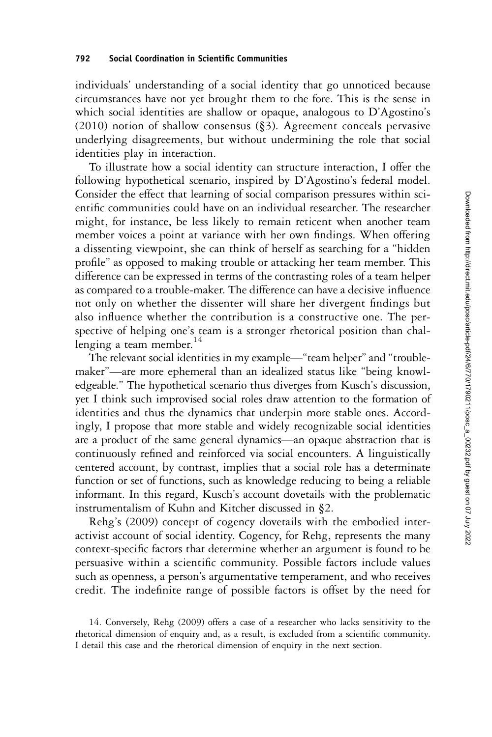individuals' understanding of a social identity that go unnoticed because circumstances have not yet brought them to the fore. This is the sense in which social identities are shallow or opaque, analogous to D'Agostino's (2010) notion of shallow consensus (§3). Agreement conceals pervasive underlying disagreements, but without undermining the role that social identities play in interaction.

To illustrate how a social identity can structure interaction, I offer the following hypothetical scenario, inspired by D'Agostino's federal model. Consider the effect that learning of social comparison pressures within scientific communities could have on an individual researcher. The researcher might, for instance, be less likely to remain reticent when another team member voices a point at variance with her own findings. When offering a dissenting viewpoint, she can think of herself as searching for a "hidden profile" as opposed to making trouble or attacking her team member. This difference can be expressed in terms of the contrasting roles of a team helper as compared to a trouble-maker. The difference can have a decisive influence not only on whether the dissenter will share her divergent findings but also influence whether the contribution is a constructive one. The perspective of helping one's team is a stronger rhetorical position than challenging a team member. $^{14}$ 

The relevant social identities in my example—"team helper"and "troublemaker"—are more ephemeral than an idealized status like "being knowledgeable." The hypothetical scenario thus diverges from Kusch's discussion, yet I think such improvised social roles draw attention to the formation of identities and thus the dynamics that underpin more stable ones. Accordingly, I propose that more stable and widely recognizable social identities are a product of the same general dynamics—an opaque abstraction that is continuously refined and reinforced via social encounters. A linguistically centered account, by contrast, implies that a social role has a determinate function or set of functions, such as knowledge reducing to being a reliable informant. In this regard, Kusch's account dovetails with the problematic instrumentalism of Kuhn and Kitcher discussed in §2.

Rehg's (2009) concept of cogency dovetails with the embodied interactivist account of social identity. Cogency, for Rehg, represents the many context-specific factors that determine whether an argument is found to be persuasive within a scientific community. Possible factors include values such as openness, a person's argumentative temperament, and who receives credit. The indefinite range of possible factors is offset by the need for

<sup>14.</sup> Conversely, Rehg (2009) offers a case of a researcher who lacks sensitivity to the rhetorical dimension of enquiry and, as a result, is excluded from a scientific community. I detail this case and the rhetorical dimension of enquiry in the next section.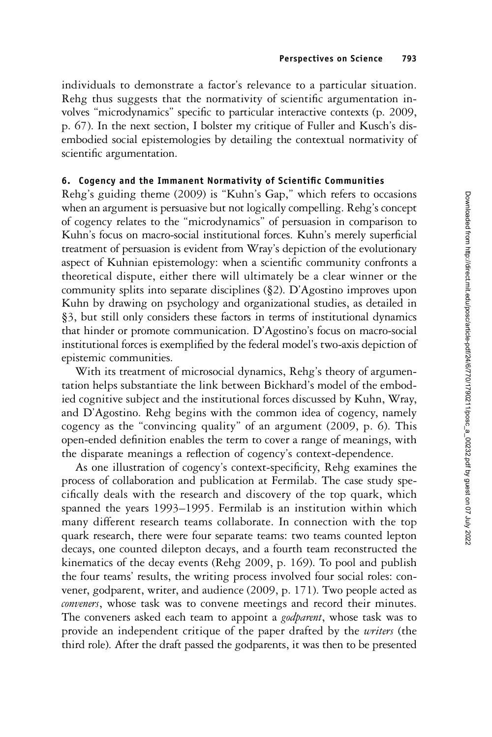individuals to demonstrate a factor's relevance to a particular situation. Rehg thus suggests that the normativity of scientific argumentation involves "microdynamics" specific to particular interactive contexts (p. 2009, p. 67). In the next section, I bolster my critique of Fuller and Kusch's disembodied social epistemologies by detailing the contextual normativity of scientific argumentation.

# 6. Cogency and the Immanent Normativity of Scientific Communities

Rehg's guiding theme (2009) is "Kuhn's Gap," which refers to occasions when an argument is persuasive but not logically compelling. Rehg's concept of cogency relates to the "microdynamics" of persuasion in comparison to Kuhn's focus on macro-social institutional forces. Kuhn's merely superficial treatment of persuasion is evident from Wray's depiction of the evolutionary aspect of Kuhnian epistemology: when a scientific community confronts a theoretical dispute, either there will ultimately be a clear winner or the community splits into separate disciplines (§2). D'Agostino improves upon Kuhn by drawing on psychology and organizational studies, as detailed in §3, but still only considers these factors in terms of institutional dynamics that hinder or promote communication. D'Agostino's focus on macro-social institutional forces is exemplified by the federal model's two-axis depiction of epistemic communities.

With its treatment of microsocial dynamics, Rehg's theory of argumentation helps substantiate the link between Bickhard's model of the embodied cognitive subject and the institutional forces discussed by Kuhn, Wray, and D'Agostino. Rehg begins with the common idea of cogency, namely cogency as the "convincing quality" of an argument (2009, p. 6). This open-ended definition enables the term to cover a range of meanings, with the disparate meanings a reflection of cogency's context-dependence.

As one illustration of cogency's context-specificity, Rehg examines the process of collaboration and publication at Fermilab. The case study specifically deals with the research and discovery of the top quark, which spanned the years 1993–1995. Fermilab is an institution within which many different research teams collaborate. In connection with the top quark research, there were four separate teams: two teams counted lepton decays, one counted dilepton decays, and a fourth team reconstructed the kinematics of the decay events (Rehg 2009, p. 169). To pool and publish the four teams' results, the writing process involved four social roles: convener, godparent, writer, and audience (2009, p. 171). Two people acted as conveners, whose task was to convene meetings and record their minutes. The conveners asked each team to appoint a *godparent*, whose task was to provide an independent critique of the paper drafted by the *writers* (the third role). After the draft passed the godparents, it was then to be presented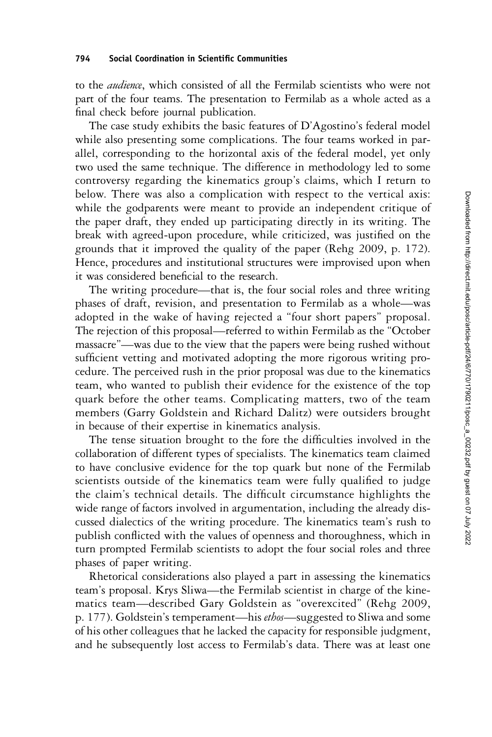to the audience, which consisted of all the Fermilab scientists who were not part of the four teams. The presentation to Fermilab as a whole acted as a final check before journal publication.

The case study exhibits the basic features of D'Agostino's federal model while also presenting some complications. The four teams worked in parallel, corresponding to the horizontal axis of the federal model, yet only two used the same technique. The difference in methodology led to some controversy regarding the kinematics group's claims, which I return to below. There was also a complication with respect to the vertical axis: while the godparents were meant to provide an independent critique of the paper draft, they ended up participating directly in its writing. The break with agreed-upon procedure, while criticized, was justified on the grounds that it improved the quality of the paper (Rehg 2009, p. 172). Hence, procedures and institutional structures were improvised upon when it was considered beneficial to the research.

The writing procedure—that is, the four social roles and three writing phases of draft, revision, and presentation to Fermilab as a whole—was adopted in the wake of having rejected a "four short papers" proposal. The rejection of this proposal—referred to within Fermilab as the "October massacre"—was due to the view that the papers were being rushed without sufficient vetting and motivated adopting the more rigorous writing procedure. The perceived rush in the prior proposal was due to the kinematics team, who wanted to publish their evidence for the existence of the top quark before the other teams. Complicating matters, two of the team members (Garry Goldstein and Richard Dalitz) were outsiders brought in because of their expertise in kinematics analysis.

The tense situation brought to the fore the difficulties involved in the collaboration of different types of specialists. The kinematics team claimed to have conclusive evidence for the top quark but none of the Fermilab scientists outside of the kinematics team were fully qualified to judge the claim's technical details. The difficult circumstance highlights the wide range of factors involved in argumentation, including the already discussed dialectics of the writing procedure. The kinematics team's rush to publish conflicted with the values of openness and thoroughness, which in turn prompted Fermilab scientists to adopt the four social roles and three phases of paper writing.

Rhetorical considerations also played a part in assessing the kinematics team's proposal. Krys Sliwa—the Fermilab scientist in charge of the kinematics team—described Gary Goldstein as "overexcited" (Rehg 2009, p. 177). Goldstein's temperament—his ethos—suggested to Sliwa and some of his other colleagues that he lacked the capacity for responsible judgment, and he subsequently lost access to Fermilab's data. There was at least one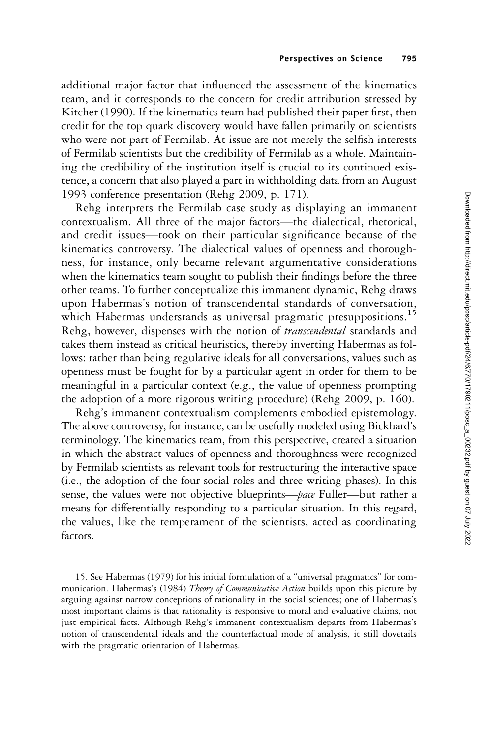additional major factor that influenced the assessment of the kinematics team, and it corresponds to the concern for credit attribution stressed by Kitcher (1990). If the kinematics team had published their paper first, then credit for the top quark discovery would have fallen primarily on scientists who were not part of Fermilab. At issue are not merely the selfish interests of Fermilab scientists but the credibility of Fermilab as a whole. Maintaining the credibility of the institution itself is crucial to its continued existence, a concern that also played a part in withholding data from an August 1993 conference presentation (Rehg 2009, p. 171).

Rehg interprets the Fermilab case study as displaying an immanent contextualism. All three of the major factors—the dialectical, rhetorical, and credit issues—took on their particular significance because of the kinematics controversy. The dialectical values of openness and thoroughness, for instance, only became relevant argumentative considerations when the kinematics team sought to publish their findings before the three other teams. To further conceptualize this immanent dynamic, Rehg draws upon Habermas's notion of transcendental standards of conversation, which Habermas understands as universal pragmatic presuppositions.<sup>15</sup> Rehg, however, dispenses with the notion of *transcendental* standards and takes them instead as critical heuristics, thereby inverting Habermas as follows: rather than being regulative ideals for all conversations, values such as openness must be fought for by a particular agent in order for them to be meaningful in a particular context (e.g., the value of openness prompting the adoption of a more rigorous writing procedure) (Rehg 2009, p. 160).

Rehg's immanent contextualism complements embodied epistemology. The above controversy, for instance, can be usefully modeled using Bickhard's terminology. The kinematics team, from this perspective, created a situation in which the abstract values of openness and thoroughness were recognized by Fermilab scientists as relevant tools for restructuring the interactive space (i.e., the adoption of the four social roles and three writing phases). In this sense, the values were not objective blueprints—*pace* Fuller—but rather a means for differentially responding to a particular situation. In this regard, the values, like the temperament of the scientists, acted as coordinating factors.

15. See Habermas (1979) for his initial formulation of a "universal pragmatics" for communication. Habermas's (1984) Theory of Communicative Action builds upon this picture by arguing against narrow conceptions of rationality in the social sciences; one of Habermas's most important claims is that rationality is responsive to moral and evaluative claims, not just empirical facts. Although Rehg's immanent contextualism departs from Habermas's notion of transcendental ideals and the counterfactual mode of analysis, it still dovetails with the pragmatic orientation of Habermas.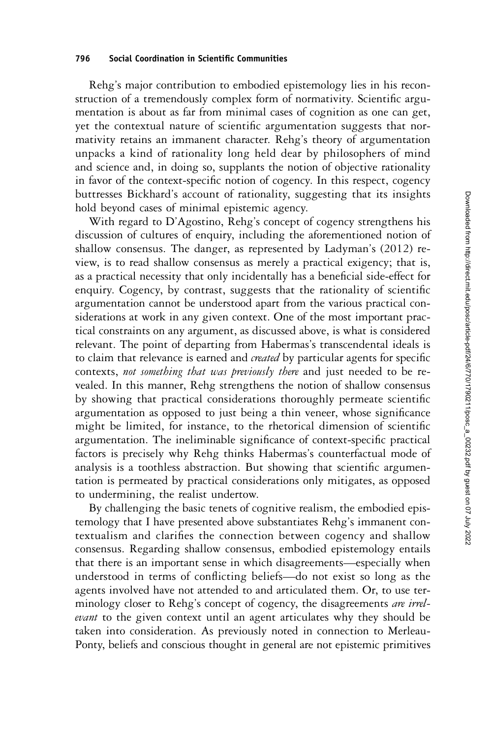Rehg's major contribution to embodied epistemology lies in his reconstruction of a tremendously complex form of normativity. Scientific argumentation is about as far from minimal cases of cognition as one can get, yet the contextual nature of scientific argumentation suggests that normativity retains an immanent character. Rehg's theory of argumentation unpacks a kind of rationality long held dear by philosophers of mind and science and, in doing so, supplants the notion of objective rationality in favor of the context-specific notion of cogency. In this respect, cogency buttresses Bickhard's account of rationality, suggesting that its insights hold beyond cases of minimal epistemic agency.

With regard to D'Agostino, Rehg's concept of cogency strengthens his discussion of cultures of enquiry, including the aforementioned notion of shallow consensus. The danger, as represented by Ladyman's (2012) review, is to read shallow consensus as merely a practical exigency; that is, as a practical necessity that only incidentally has a beneficial side-effect for enquiry. Cogency, by contrast, suggests that the rationality of scientific argumentation cannot be understood apart from the various practical considerations at work in any given context. One of the most important practical constraints on any argument, as discussed above, is what is considered relevant. The point of departing from Habermas's transcendental ideals is to claim that relevance is earned and created by particular agents for specific contexts, not something that was previously there and just needed to be revealed. In this manner, Rehg strengthens the notion of shallow consensus by showing that practical considerations thoroughly permeate scientific argumentation as opposed to just being a thin veneer, whose significance might be limited, for instance, to the rhetorical dimension of scientific argumentation. The ineliminable significance of context-specific practical factors is precisely why Rehg thinks Habermas's counterfactual mode of analysis is a toothless abstraction. But showing that scientific argumentation is permeated by practical considerations only mitigates, as opposed to undermining, the realist undertow.

By challenging the basic tenets of cognitive realism, the embodied epistemology that I have presented above substantiates Rehg's immanent contextualism and clarifies the connection between cogency and shallow consensus. Regarding shallow consensus, embodied epistemology entails that there is an important sense in which disagreements—especially when understood in terms of conflicting beliefs—do not exist so long as the agents involved have not attended to and articulated them. Or, to use terminology closer to Rehg's concept of cogency, the disagreements are irrelevant to the given context until an agent articulates why they should be taken into consideration. As previously noted in connection to Merleau-Ponty, beliefs and conscious thought in general are not epistemic primitives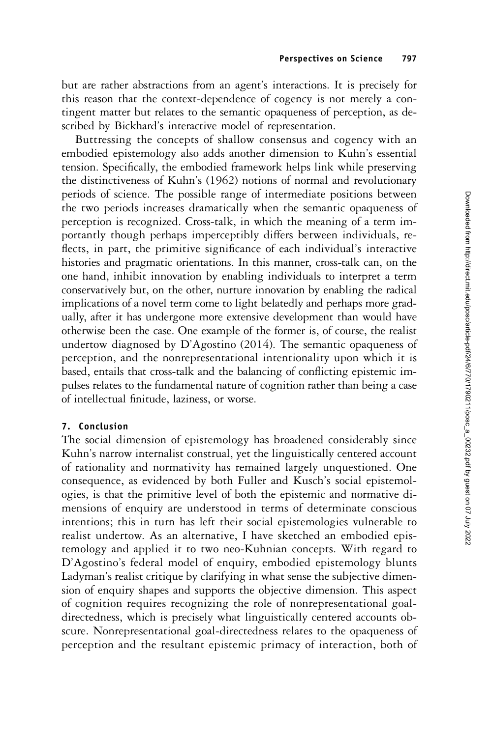but are rather abstractions from an agent's interactions. It is precisely for this reason that the context-dependence of cogency is not merely a contingent matter but relates to the semantic opaqueness of perception, as described by Bickhard's interactive model of representation.

Buttressing the concepts of shallow consensus and cogency with an embodied epistemology also adds another dimension to Kuhn's essential tension. Specifically, the embodied framework helps link while preserving the distinctiveness of Kuhn's (1962) notions of normal and revolutionary periods of science. The possible range of intermediate positions between the two periods increases dramatically when the semantic opaqueness of perception is recognized. Cross-talk, in which the meaning of a term importantly though perhaps imperceptibly differs between individuals, reflects, in part, the primitive significance of each individual's interactive histories and pragmatic orientations. In this manner, cross-talk can, on the one hand, inhibit innovation by enabling individuals to interpret a term conservatively but, on the other, nurture innovation by enabling the radical implications of a novel term come to light belatedly and perhaps more gradually, after it has undergone more extensive development than would have otherwise been the case. One example of the former is, of course, the realist undertow diagnosed by D'Agostino (2014). The semantic opaqueness of perception, and the nonrepresentational intentionality upon which it is based, entails that cross-talk and the balancing of conflicting epistemic impulses relates to the fundamental nature of cognition rather than being a case of intellectual finitude, laziness, or worse.

## 7. Conclusion

The social dimension of epistemology has broadened considerably since Kuhn's narrow internalist construal, yet the linguistically centered account of rationality and normativity has remained largely unquestioned. One consequence, as evidenced by both Fuller and Kusch's social epistemologies, is that the primitive level of both the epistemic and normative dimensions of enquiry are understood in terms of determinate conscious intentions; this in turn has left their social epistemologies vulnerable to realist undertow. As an alternative, I have sketched an embodied epistemology and applied it to two neo-Kuhnian concepts. With regard to D'Agostino's federal model of enquiry, embodied epistemology blunts Ladyman's realist critique by clarifying in what sense the subjective dimension of enquiry shapes and supports the objective dimension. This aspect of cognition requires recognizing the role of nonrepresentational goaldirectedness, which is precisely what linguistically centered accounts obscure. Nonrepresentational goal-directedness relates to the opaqueness of perception and the resultant epistemic primacy of interaction, both of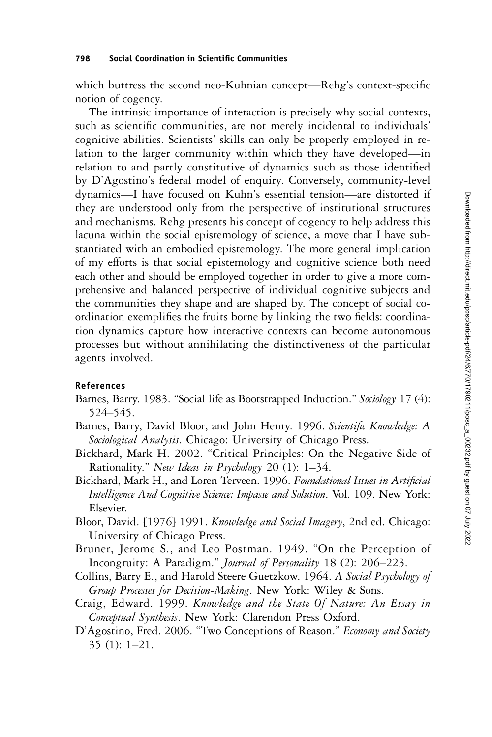which buttress the second neo-Kuhnian concept—Rehg's context-specific notion of cogency.

The intrinsic importance of interaction is precisely why social contexts, such as scientific communities, are not merely incidental to individuals' cognitive abilities. Scientists' skills can only be properly employed in relation to the larger community within which they have developed—in relation to and partly constitutive of dynamics such as those identified by D'Agostino's federal model of enquiry. Conversely, community-level dynamics—I have focused on Kuhn's essential tension—are distorted if they are understood only from the perspective of institutional structures and mechanisms. Rehg presents his concept of cogency to help address this lacuna within the social epistemology of science, a move that I have substantiated with an embodied epistemology. The more general implication of my efforts is that social epistemology and cognitive science both need each other and should be employed together in order to give a more comprehensive and balanced perspective of individual cognitive subjects and the communities they shape and are shaped by. The concept of social coordination exemplifies the fruits borne by linking the two fields: coordination dynamics capture how interactive contexts can become autonomous processes but without annihilating the distinctiveness of the particular agents involved.

## References

- Barnes, Barry. 1983. "Social life as Bootstrapped Induction." Sociology 17 (4): 524–545.
- Barnes, Barry, David Bloor, and John Henry. 1996. Scientific Knowledge: A Sociological Analysis. Chicago: University of Chicago Press.
- Bickhard, Mark H. 2002. "Critical Principles: On the Negative Side of Rationality." New Ideas in Psychology 20 (1): 1-34.
- Bickhard, Mark H., and Loren Terveen. 1996. Foundational Issues in Artificial Intelligence And Cognitive Science: Impasse and Solution. Vol. 109. New York: Elsevier.
- Bloor, David. [1976] 1991. Knowledge and Social Imagery, 2nd ed. Chicago: University of Chicago Press.
- Bruner, Jerome S., and Leo Postman. 1949. "On the Perception of Incongruity: A Paradigm." Journal of Personality 18 (2): 206–223.
- Collins, Barry E., and Harold Steere Guetzkow. 1964. A Social Psychology of Group Processes for Decision-Making. New York: Wiley & Sons.
- Craig, Edward. 1999. Knowledge and the State Of Nature: An Essay in Conceptual Synthesis. New York: Clarendon Press Oxford.
- D'Agostino, Fred. 2006. "Two Conceptions of Reason." Economy and Society 35 (1): 1–21.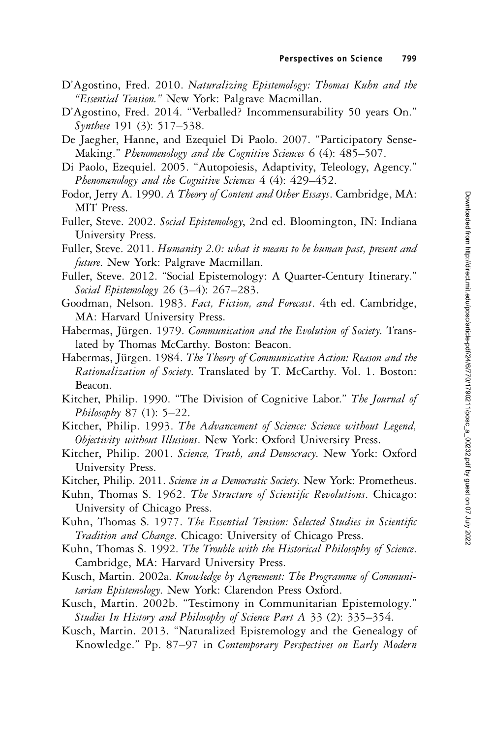- D'Agostino, Fred. 2010. Naturalizing Epistemology: Thomas Kuhn and the "Essential Tension." New York: Palgrave Macmillan.
- D'Agostino, Fred. 2014. "Verballed? Incommensurability 50 years On." Synthese 191 (3): 517–538.
- De Jaegher, Hanne, and Ezequiel Di Paolo. 2007. "Participatory Sense-Making." Phenomenology and the Cognitive Sciences 6 (4): 485–507.
- Di Paolo, Ezequiel. 2005. "Autopoiesis, Adaptivity, Teleology, Agency." Phenomenology and the Cognitive Sciences 4 (4): 429–452.
- Fodor, Jerry A. 1990. A Theory of Content and Other Essays. Cambridge, MA: MIT Press.
- Fuller, Steve. 2002. Social Epistemology, 2nd ed. Bloomington, IN: Indiana University Press.
- Fuller, Steve. 2011. Humanity 2.0: what it means to be human past, present and future. New York: Palgrave Macmillan.
- Fuller, Steve. 2012. "Social Epistemology: A Quarter-Century Itinerary." Social Epistemology 26 (3–4): 267–283.
- Goodman, Nelson. 1983. Fact, Fiction, and Forecast. 4th ed. Cambridge, MA: Harvard University Press.
- Habermas, Jürgen. 1979. Communication and the Evolution of Society. Translated by Thomas McCarthy. Boston: Beacon.
- Habermas, Jürgen. 1984. The Theory of Communicative Action: Reason and the Rationalization of Society. Translated by T. McCarthy. Vol. 1. Boston: Beacon.
- Kitcher, Philip. 1990. "The Division of Cognitive Labor." The Journal of Philosophy 87 (1): 5–22.
- Kitcher, Philip. 1993. The Advancement of Science: Science without Legend, Objectivity without Illusions. New York: Oxford University Press.
- Kitcher, Philip. 2001. Science, Truth, and Democracy. New York: Oxford University Press.
- Kitcher, Philip. 2011. Science in a Democratic Society. New York: Prometheus.
- Kuhn, Thomas S. 1962. The Structure of Scientific Revolutions. Chicago: University of Chicago Press.
- Kuhn, Thomas S. 1977. The Essential Tension: Selected Studies in Scientific Tradition and Change. Chicago: University of Chicago Press.
- Kuhn, Thomas S. 1992. The Trouble with the Historical Philosophy of Science. Cambridge, MA: Harvard University Press.
- Kusch, Martin. 2002a. Knowledge by Agreement: The Programme of Communitarian Epistemology. New York: Clarendon Press Oxford.
- Kusch, Martin. 2002b. "Testimony in Communitarian Epistemology." Studies In History and Philosophy of Science Part A 33 (2): 335–354.
- Kusch, Martin. 2013. "Naturalized Epistemology and the Genealogy of Knowledge." Pp. 87–97 in Contemporary Perspectives on Early Modern